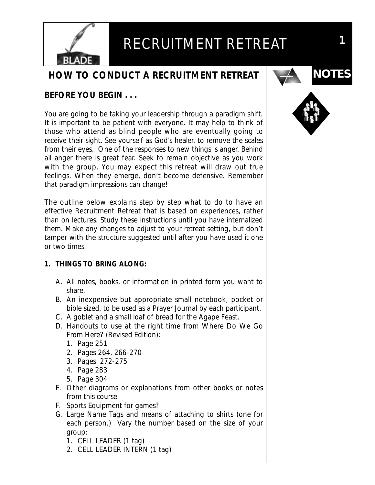

### **HOW TO CONDUCT A RECRUITMENT RETREAT**

#### **BEFORE YOU BEGIN . . .**

You are going to be taking your leadership through a paradigm shift. It is important to be patient with everyone. It may help to think of those who attend as blind people who are eventually going to receive their sight. See yourself as God's healer, to remove the scales from their eyes. One of the responses to new things is anger. Behind all anger there is great fear. Seek to remain objective as you work with the group. You may expect this retreat will draw out true feelings. When they emerge, don't become defensive. Remember that paradigm impressions can change!

The outline below explains step by step what to do to have an effective Recruitment Retreat that is based on experiences, rather than on lectures. Study these instructions until you have internalized them. Make any changes to adjust to your retreat setting, but don't tamper with the structure suggested until after you have used it one or two times.

#### **1. THINGS TO BRING ALONG:**

- A. All notes, books, or information in printed form you want to share.
- B. An inexpensive but appropriate small notebook, pocket or bible sized, to be used as a Prayer Journal by each participant.
- C. A goblet and a small loaf of bread for the Agape Feast.
- D. Handouts to use at the right time from *Where Do We Go From Here?* (Revised Edition):
	- 1. Page 251
	- 2. Pages 264, 266-270
	- 3. Pages 272-275
	- 4. Page 283
	- 5. Page 304
- E. Other diagrams or explanations from other books or notes from this course.
- F. Sports Equipment for games?
- G. Large Name Tags and means of attaching to shirts (one for each person.) Vary the number based on the size of your group:
	- 1. CELL LEADER (1 tag)
	- 2. CELL LEADER INTERN (1 tag)



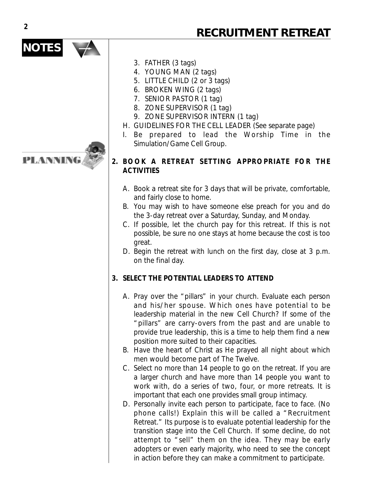# **NOTES**

PLANNING

- 3. FATHER (3 tags)
- 4. YOUNG MAN (2 tags)
- 5. LITTLE CHILD (2 or 3 tags)
- 6. BROKEN WING (2 tags)
- 7. SENIOR PASTOR (1 tag)
- 8. ZONE SUPERVISOR (1 tag)
- 9. ZONE SUPERVISOR INTERN (1 tag)
- H. GUIDELINES FOR THE CELL LEADER (See separate page)
- I. Be prepared to lead the Worship Time in the Simulation/Game Cell Group.

#### **2. BOOK A RETREAT SETTING APPROPRIATE FOR THE ACTIVITIES**

- A. Book a retreat site for 3 days that will be private, comfortable, and fairly close to home.
- B. You may wish to have someone else preach for you and do the 3-day retreat over a Saturday, Sunday, and Monday.
- C. If possible, let the church pay for this retreat. If this is not possible, be sure no one stays at home because the cost is too great.
- D. Begin the retreat with lunch on the first day, close at 3 p.m. on the final day.

#### **3. SELECT THE POTENTIAL LEADERS TO ATTEND**

- A. Pray over the "pillars" in your church. Evaluate each person and his/her spouse. Which ones have potential to be leadership material in the new Cell Church? If some of the "pillars" are carry-overs from the past and are unable to provide true leadership, this is a time to help them find a new position more suited to their capacities.
- B. Have the heart of Christ as He prayed all night about which men would become part of The Twelve.
- C. Select no more than 14 people to go on the retreat. If you are a larger church and have more than 14 people you want to work with, do a series of two, four, or more retreats. It is important that each one provides small group intimacy.
- D. Personally invite each person to participate, face to face. (No phone calls!) Explain this will be called a "Recruitment Retreat." Its purpose is to evaluate potential leadership for the transition stage into the Cell Church. If some decline, do not attempt to "sell" them on the idea. They may be early adopters or even early majority, who need to see the concept in action before they can make a commitment to participate.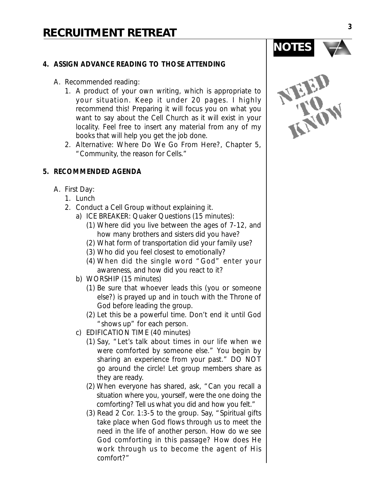#### **4. ASSIGN ADVANCE READING TO THOSE ATTENDING**

- A. Recommended reading:
	- 1. A product of your own writing, which is appropriate to your situation. Keep it under 20 pages. I highly recommend this! Preparing it will focus you on what you want to say about the Cell Church as it will exist in your locality. Feel free to insert any material from any of my books that will help you get the job done.
	- 2. Alternative: Where Do We Go From Here?, Chapter 5, "Community, the reason for Cells."

#### **5. RECOMMENDED AGENDA**

- A. First Day:
	- 1. Lunch
	- 2. Conduct a Cell Group without explaining it.
		- a) ICE BREAKER: Quaker Questions (15 minutes):
			- (1) Where did you live between the ages of 7-12, and how many brothers and sisters did you have?
			- (2) What form of transportation did your family use?
			- (3) Who did you feel closest to emotionally?
			- (4) When did the single word "God" enter your awareness, and how did you react to it?
		- b) WORSHIP (15 minutes)
			- (1) Be sure that whoever leads this (you or someone else?) is prayed up and in touch with the Throne of God before leading the group.
			- (2) Let this be a powerful time. Don't end it until God "shows up" for each person.
		- c) EDIFICATION TIME (40 minutes)
			- (1) Say, "Let's talk about times in our life when we were comforted by someone else." You begin by sharing an experience from your past." DO NOT go around the circle! Let group members share as they are ready.
			- (2) When everyone has shared, ask, "Can you recall a situation where you, yourself, were the one doing the comforting? Tell us what you did and how you felt."
			- (3) Read 2 Cor. 1:3-5 to the group. Say, "Spiritual gifts take place when God flows through us to meet the need in the life of another person. How do we see God comforting in this passage? How does He work through us to become the agent of His comfort?"



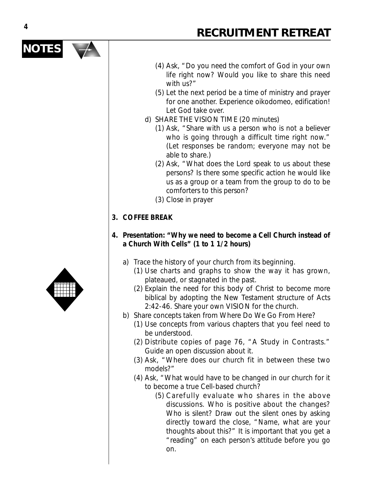#### (4) Ask, "Do you need the comfort of God in your own life right now? Would you like to share this need with us?"

- (5) Let the next period be a time of ministry and prayer for one another. Experience oikodomeo, edification! Let God take over.
- d) SHARE THE VISION TIME (20 minutes)
	- (1) Ask, "Share with us a person who is not a believer who is going through a difficult time right now." (Let responses be random; everyone may not be able to share.)
	- (2) Ask, "What does the Lord speak to us about these persons? Is there some specific action he would like us as a group or a team from the group to do to be comforters to this person?
	- (3) Close in prayer

#### **3. COFFEE BREAK**

- **4. Presentation: "Why we need to become a Cell Church instead of a Church With Cells" (1 to 1 1/2 hours)**
	- a) Trace the history of your church from its beginning.
		- (1) Use charts and graphs to show the way it has grown, plateaued, or stagnated in the past.
		- (2) Explain the need for this body of Christ to become more biblical by adopting the New Testament structure of Acts 2:42-46. Share your own VISION for the church.
	- b) Share concepts taken from Where Do We Go From Here?
		- (1) Use concepts from various chapters that you feel need to be understood.
		- (2) Distribute copies of page 76, "A Study in Contrasts." Guide an open discussion about it.
		- (3) Ask, "Where does our church fit in between these two models?"
		- (4) Ask, "What would have to be changed in our church for it to become a true Cell-based church?
			- (5) Carefully evaluate who shares in the above discussions. Who is positive about the changes? Who is silent? Draw out the silent ones by asking directly toward the close, "Name, what are your thoughts about this?" It is important that you get a "reading" on each person's attitude before you go on.



**NOTES**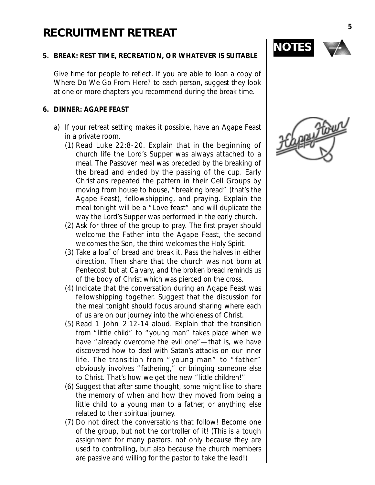#### **5. BREAK: REST TIME, RECREATION, OR WHATEVER IS SUITABLE**

Give time for people to reflect. If you are able to loan a copy of Where Do We Go From Here? to each person, suggest they look at one or more chapters you recommend during the break time.

#### **6. DINNER: AGAPE FEAST**

- a) If your retreat setting makes it possible, have an Agape Feast in a private room.
	- (1) Read Luke 22:8-20. Explain that in the beginning of church life the Lord's Supper was always attached to a meal. The Passover meal was preceded by the breaking of the bread and ended by the passing of the cup. Early Christians repeated the pattern in their Cell Groups by moving from house to house, "breaking bread" (that's the Agape Feast), fellowshipping, and praying. Explain the meal tonight will be a "Love feast" and will duplicate the way the Lord's Supper was performed in the early church.
	- (2) Ask for three of the group to pray. The first prayer should welcome the Father into the Agape Feast, the second welcomes the Son, the third welcomes the Holy Spirit.
	- (3) Take a loaf of bread and break it. Pass the halves in either direction. Then share that the church was not born at Pentecost but at Calvary, and the broken bread reminds us of the body of Christ which was pierced on the cross.
	- (4) Indicate that the conversation during an Agape Feast was fellowshipping together. Suggest that the discussion for the meal tonight should focus around sharing where each of us are on our journey into the wholeness of Christ.
	- (5) Read 1 John 2:12-14 aloud. Explain that the transition from "little child" to "young man" takes place when we have "already overcome the evil one"—that is, we have discovered how to deal with Satan's attacks on our inner life. The transition from "young man" to "father" obviously involves "fathering," or bringing someone else to Christ. That's how we get the new "little children!"
	- (6) Suggest that after some thought, some might like to share the memory of when and how they moved from being a little child to a young man to a father, or anything else related to their spiritual journey.
	- (7) Do not direct the conversations that follow! Become one of the group, but not the controller of it! (This is a tough assignment for many pastors, not only because they are used to controlling, but also because the church members are passive and willing for the pastor to take the lead!)



**NOTES**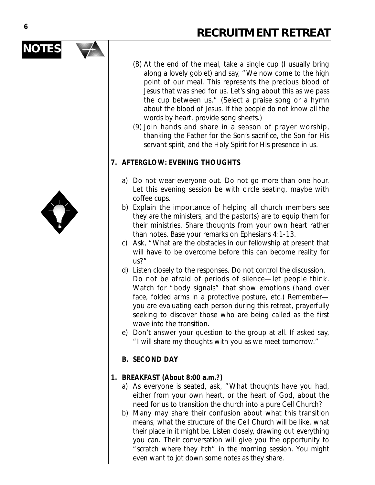- (8) At the end of the meal, take a single cup (I usually bring along a lovely goblet) and say, "We now come to the high point of our meal. This represents the precious blood of Jesus that was shed for us. Let's sing about this as we pass the cup between us." (Select a praise song or a hymn about the blood of Jesus. If the people do not know all the words by heart, provide song sheets.)
- (9) Join hands and share in a season of prayer worship, thanking the Father for the Son's sacrifice, the Son for His servant spirit, and the Holy Spirit for His presence in us.

#### **7. AFTERGLOW: EVENING THOUGHTS**

- a) Do not wear everyone out. Do not go more than one hour. Let this evening session be with circle seating, maybe with coffee cups.
- b) Explain the importance of helping all church members see they are the ministers, and the pastor(s) are to equip them for their ministries. Share thoughts from your own heart rather than notes. Base your remarks on Ephesians 4:1-13.
- c) Ask, "What are the obstacles in our fellowship at present that will have to be overcome before this can become reality for us?"
- d) Listen closely to the responses. Do not control the discussion. Do not be afraid of periods of silence—let people think. Watch for "body signals" that show emotions (hand over face, folded arms in a protective posture, etc.) Remember you are evaluating each person during this retreat, prayerfully seeking to discover those who are being called as the first wave into the transition.
- e) Don't answer your question to the group at all. If asked say, "I will share my thoughts with you as we meet tomorrow."

#### **B. SECOND DAY**

#### **1. BREAKFAST (About 8:00 a.m.?)**

- a) As everyone is seated, ask, "What thoughts have you had, either from your own heart, or the heart of God, about the need for us to transition the church into a pure Cell Church?
- b) Many may share their confusion about what this transition means, what the structure of the Cell Church will be like, what their place in it might be. Listen closely, drawing out everything you can. Their conversation will give you the opportunity to "scratch where they itch" in the morning session. You might even want to jot down some notes as they share.



**NOTES**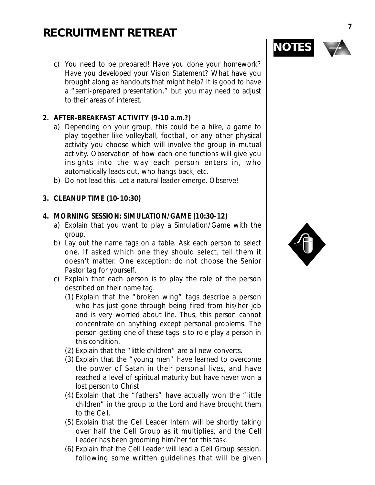c) You need to be prepared! Have you done your homework? Have you developed your Vision Statement? What have you brought along as handouts that might help? It is good to have a "semi-prepared presentation," but you may need to adjust to their areas of interest.

#### **2. AFTER-BREAKFAST ACTIVITY (9-10 a.m.?)**

- a) Depending on your group, this could be a hike, a game to play together like volleyball, football, or any other physical activity you choose which will involve the group in mutual activity. Observation of how each one functions will give you insights into the way each person enters in, who automatically leads out, who hangs back, etc.
- b) Do not lead this. Let a natural leader emerge. Observe!
- **3. CLEANUP TIME (10-10:30)**

#### **4. MORNING SESSION: SIMULATION/GAME (10:30-12)**

- a) Explain that you want to play a Simulation/Game with the group.
- b) Lay out the name tags on a table. Ask each person to select one. If asked which one they should select, tell them it doesn't matter. One exception: do not choose the Senior Pastor tag for yourself.
- c) Explain that each person is to play the role of the person described on their name tag.
	- (1) Explain that the "broken wing" tags describe a person who has just gone through being fired from his/her job and is very worried about life. Thus, this person cannot concentrate on anything except personal problems. The person getting one of these tags is to role play a person in this condition.
	- (2) Explain that the "little children" are all new converts.
	- (3) Explain that the "young men" have learned to overcome the power of Satan in their personal lives, and have reached a level of spiritual maturity but have never won a lost person to Christ.
	- (4) Explain that the "fathers" have actually won the "little children" in the group to the Lord and have brought them to the Cell.
	- (5) Explain that the Cell Leader Intern will be shortly taking over half the Cell Group as it multiplies, and the Cell Leader has been grooming him/her for this task.
	- (6) Explain that the Cell Leader will lead a Cell Group session, following some written guidelines that will be given



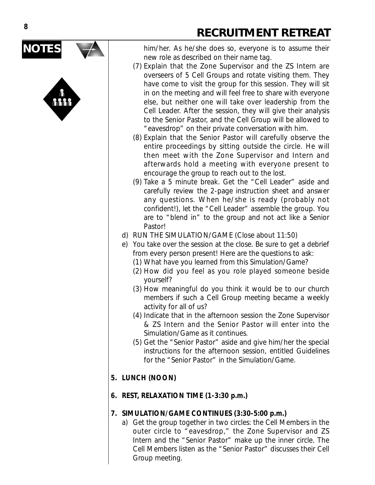



him/her. As he/she does so, everyone is to assume their new role as described on their name tag.

- (7) Explain that the Zone Supervisor and the ZS Intern are overseers of 5 Cell Groups and rotate visiting them. They have come to visit the group for this session. They will sit in on the meeting and will feel free to share with everyone else, but neither one will take over leadership from the Cell Leader. After the session, they will give their analysis to the Senior Pastor, and the Cell Group will be allowed to "eavesdrop" on their private conversation with him.
- (8) Explain that the Senior Pastor will carefully observe the entire proceedings by sitting outside the circle. He will then meet with the Zone Supervisor and Intern and afterwards hold a meeting with everyone present to encourage the group to reach out to the lost.
- (9) Take a 5 minute break. Get the "Cell Leader" aside and carefully review the 2-page instruction sheet and answer any questions. When he/she is ready (probably not confident!), let the "Cell Leader" assemble the group. You are to "blend in" to the group and not act like a Senior Pastor!
- d) RUN THE SIMULATION/GAME (Close about 11:50)
- e) You take over the session at the close. Be sure to get a debrief from every person present! Here are the questions to ask:
	- (1) What have you learned from this Simulation/Game?
	- (2) How did you feel as you role played someone beside yourself?
	- (3) How meaningful do you think it would be to our church members if such a Cell Group meeting became a weekly activity for all of us?
	- (4) Indicate that in the afternoon session the Zone Supervisor & ZS Intern and the Senior Pastor will enter into the Simulation/Game as it continues.
	- (5) Get the "Senior Pastor" aside and give him/her the special instructions for the afternoon session, entitled Guidelines for the "Senior Pastor" in the Simulation/Game.
- **5. LUNCH (NOON)**
- **6. REST, RELAXATION TIME (1-3:30 p.m.)**

#### **7. SIMULATION/GAME CONTINUES (3:30-5:00 p.m.)**

a) Get the group together in two circles: the Cell Members in the outer circle to "eavesdrop," the Zone Supervisor and ZS Intern and the "Senior Pastor" make up the inner circle. The Cell Members listen as the "Senior Pastor" discusses their Cell Group meeting.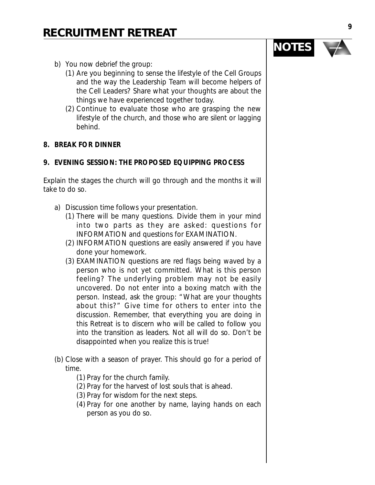- b) You now debrief the group:
	- (1) Are you beginning to sense the lifestyle of the Cell Groups and the way the Leadership Team will become helpers of the Cell Leaders? Share what your thoughts are about the things we have experienced together today.
	- (2) Continue to evaluate those who are grasping the new lifestyle of the church, and those who are silent or lagging behind.

#### **8. BREAK FOR DINNER**

#### **9. EVENING SESSION: THE PROPOSED EQUIPPING PROCESS**

Explain the stages the church will go through and the months it will take to do so.

- a) Discussion time follows your presentation.
	- (1) There will be many questions. Divide them in your mind into two parts as they are asked: questions for INFORMATION and questions for EXAMINATION.
	- (2) INFORMATION questions are easily answered if you have done your homework.
	- (3) EXAMINATION questions are red flags being waved by a person who is not yet committed. What is this person feeling? The underlying problem may not be easily uncovered. Do not enter into a boxing match with the person. Instead, ask the group: "What are your thoughts about this?" Give time for others to enter into the discussion. Remember, that everything you are doing in this Retreat is to discern who will be called to follow you into the transition as leaders. Not all will do so. Don't be disappointed when you realize this is true!
- (b) Close with a season of prayer. This should go for a period of time.
	- (1) Pray for the church family.
	- (2) Pray for the harvest of lost souls that is ahead.
	- (3) Pray for wisdom for the next steps.
	- (4) Pray for one another by name, laying hands on each person as you do so.

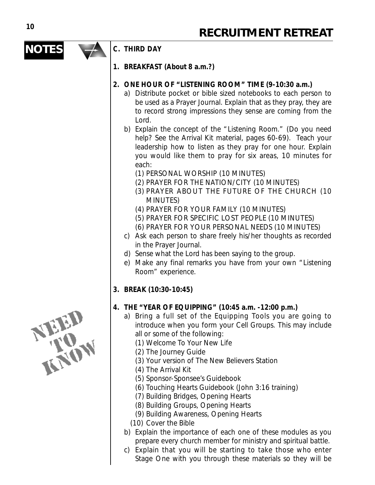$\overline{\textbf{A}}$ 

| <b>NOTES</b> | C. THIRD DAY                                                                                                                                                                                                                                                                                                                                                                                                                                                                                                                                                                                                                                                                                                                                                                                                                                                                                                                                                                                                                                                          |
|--------------|-----------------------------------------------------------------------------------------------------------------------------------------------------------------------------------------------------------------------------------------------------------------------------------------------------------------------------------------------------------------------------------------------------------------------------------------------------------------------------------------------------------------------------------------------------------------------------------------------------------------------------------------------------------------------------------------------------------------------------------------------------------------------------------------------------------------------------------------------------------------------------------------------------------------------------------------------------------------------------------------------------------------------------------------------------------------------|
|              | 1. BREAKFAST (About 8 a.m.?)                                                                                                                                                                                                                                                                                                                                                                                                                                                                                                                                                                                                                                                                                                                                                                                                                                                                                                                                                                                                                                          |
|              | 2. ONE HOUR OF "LISTENING ROOM" TIME (9-10:30 a.m.)<br>a) Distribute pocket or bible sized notebooks to each person to<br>be used as a Prayer Journal. Explain that as they pray, they are<br>to record strong impressions they sense are coming from the<br>Lord.<br>b) Explain the concept of the "Listening Room." (Do you need<br>help? See the Arrival Kit material, pages 60-69). Teach your<br>leadership how to listen as they pray for one hour. Explain<br>you would like them to pray for six areas, 10 minutes for<br>each:<br>(1) PERSONAL WORSHIP (10 MINUTES)<br>(2) PRAYER FOR THE NATION/CITY (10 MINUTES)<br>(3) PRAYER ABOUT THE FUTURE OF THE CHURCH (10<br><b>MINUTES)</b><br>(4) PRAYER FOR YOUR FAMILY (10 MINUTES)<br>(5) PRAYER FOR SPECIFIC LOST PEOPLE (10 MINUTES)<br>(6) PRAYER FOR YOUR PERSONAL NEEDS (10 MINUTES)<br>c) Ask each person to share freely his/her thoughts as recorded<br>in the Prayer Journal.<br>d) Sense what the Lord has been saying to the group.<br>e) Make any final remarks you have from your own "Listening |
|              | Room" experience.<br>3. BREAK (10:30-10:45)                                                                                                                                                                                                                                                                                                                                                                                                                                                                                                                                                                                                                                                                                                                                                                                                                                                                                                                                                                                                                           |
| <b>TENDS</b> | 4. THE "YEAR OF EQUIPPING" (10:45 a.m. -12:00 p.m.)<br>a) Bring a full set of the Equipping Tools you are going to<br>introduce when you form your Cell Groups. This may include<br>all or some of the following:<br>(1) Welcome To Your New Life<br>(2) The Journey Guide<br>(3) Your version of The New Believers Station<br>(4) The Arrival Kit<br>(5) Sponsor-Sponsee's Guidebook<br>(6) Touching Hearts Guidebook (John 3:16 training)<br>(7) Building Bridges, Opening Hearts<br>(8) Building Groups, Opening Hearts<br>(9) Building Awareness, Opening Hearts<br>(10) Cover the Bible<br>b) Explain the importance of each one of these modules as you<br>prepare every church member for ministry and spiritual battle.                                                                                                                                                                                                                                                                                                                                       |

c) Explain that you will be starting to take those who enter Stage One with you through these materials so they will be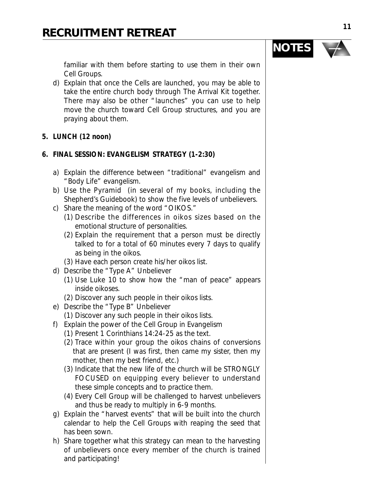familiar with them before starting to use them in their own Cell Groups.

- d) Explain that once the Cells are launched, you may be able to take the entire church body through The Arrival Kit together. There may also be other "launches" you can use to help move the church toward Cell Group structures, and you are praying about them.
- **5. LUNCH (12 noon)**

#### **6. FINAL SESSION: EVANGELISM STRATEGY (1-2:30)**

- a) Explain the difference between "traditional" evangelism and "Body Life" evangelism.
- b) Use the Pyramid (in several of my books, including the Shepherd's Guidebook) to show the five levels of unbelievers.
- c) Share the meaning of the word "OIKOS."
	- (1) Describe the differences in oikos sizes based on the emotional structure of personalities.
	- (2) Explain the requirement that a person must be directly talked to for a total of 60 minutes every 7 days to qualify as being in the oikos.
	- (3) Have each person create his/her oikos list.
- d) Describe the "Type A" Unbeliever
	- (1) Use Luke 10 to show how the "man of peace" appears inside oikoses.
	- (2) Discover any such people in their oikos lists.
- e) Describe the "Type B" Unbeliever
	- (1) Discover any such people in their oikos lists.
- f) Explain the power of the Cell Group in Evangelism
	- (1) Present 1 Corinthians 14:24-25 as the text.
	- (2) Trace within your group the oikos chains of conversions that are present (I was first, then came my sister, then my mother, then my best friend, etc.)
	- (3) Indicate that the new life of the church will be STRONGLY FOCUSED on equipping every believer to understand these simple concepts and to practice them.
	- (4) Every Cell Group will be challenged to harvest unbelievers and thus be ready to multiply in 6-9 months.
- g) Explain the "harvest events" that will be built into the church calendar to help the Cell Groups with reaping the seed that has been sown.
- h) Share together what this strategy can mean to the harvesting of unbelievers once every member of the church is trained and participating!

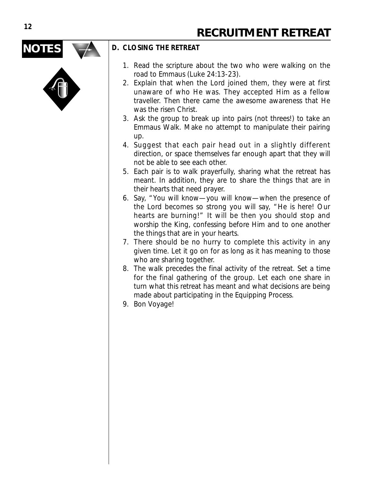## **NOTES**



#### **D. CLOSING THE RETREAT**

- 1. Read the scripture about the two who were walking on the road to Emmaus (Luke 24:13-23).
- 2. Explain that when the Lord joined them, they were at first unaware of who He was. They accepted Him as a fellow traveller. Then there came the awesome awareness that He was the risen Christ.
- 3. Ask the group to break up into pairs (not threes!) to take an Emmaus Walk. Make no attempt to manipulate their pairing up.
- 4. Suggest that each pair head out in a slightly different direction, or space themselves far enough apart that they will not be able to see each other.
- 5. Each pair is to walk prayerfully, sharing what the retreat has meant. In addition, they are to share the things that are in their hearts that need prayer.
- 6. Say, "You will know—you will know—when the presence of the Lord becomes so strong you will say, "He is here! Our hearts are burning!" It will be then you should stop and worship the King, confessing before Him and to one another the things that are in your hearts.
- 7. There should be no hurry to complete this activity in any given time. Let it go on for as long as it has meaning to those who are sharing together.
- 8. The walk precedes the final activity of the retreat. Set a time for the final gathering of the group. Let each one share in turn what this retreat has meant and what decisions are being made about participating in the Equipping Process.
- 9. Bon Voyage!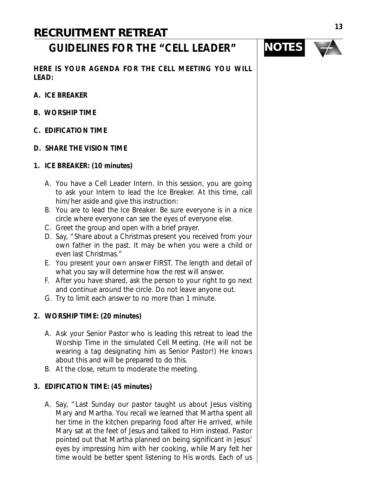## **GUIDELINES FOR THE "CELL LEADER"**



**HERE IS YOUR AGENDA FOR THE CELL MEETING YOU WILL LEAD:**

- **A. ICE BREAKER**
- **B. WORSHIP TIME**
- **C. EDIFICATION TIME**
- **D. SHARE THE VISION TIME**
- **1. ICE BREAKER: (10 minutes)**
	- A. You have a Cell Leader Intern. In this session, you are going to ask your Intern to lead the Ice Breaker. At this time, call him/her aside and give this instruction:
	- B. You are to lead the Ice Breaker. Be sure everyone is in a nice circle where everyone can see the eyes of everyone else.
	- C. Greet the group and open with a brief prayer.
	- D. Say, "Share about a Christmas present you received from your own father in the past. It may be when you were a child or even last Christmas."
	- E. You present your own answer FIRST. The length and detail of what you say will determine how the rest will answer.
	- F. After you have shared, ask the person to your right to go next and continue around the circle. Do not leave anyone out.
	- G. Try to limit each answer to no more than 1 minute.

#### **2. WORSHIP TIME: (20 minutes)**

- A. Ask your Senior Pastor who is leading this retreat to lead the Worship Time in the simulated Cell Meeting. (He will not be wearing a tag designating him as Senior Pastor!) He knows about this and will be prepared to do this.
- B. At the close, return to moderate the meeting.

#### **3. EDIFICATION TIME: (45 minutes)**

A. Say, "Last Sunday our pastor taught us about Jesus visiting Mary and Martha. You recall we learned that Martha spent all her time in the kitchen preparing food after He arrived, while Mary sat at the feet of Jesus and talked to Him instead. Pastor pointed out that Martha planned on being significant in Jesus' eyes by impressing him with her cooking, while Mary felt her time would be better spent listening to His words. Each of us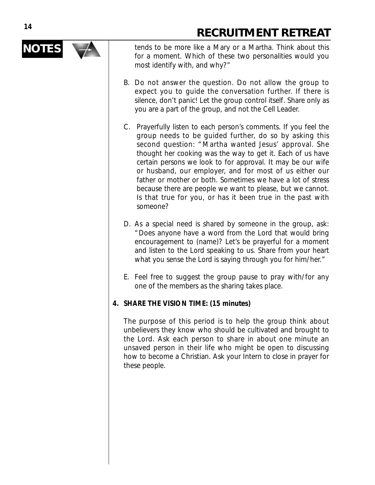

**NOTES** tends to be more like a Mary or a Martha. Think about this for a moment. Which of these two personalities would you most identify with, and why?"

- B. Do not answer the question. Do not allow the group to expect you to guide the conversation further. If there is silence, don't panic! Let the group control itself. Share only as you are a part of the group, and not the Cell Leader.
- C. Prayerfully listen to each person's comments. If you feel the group needs to be guided further, do so by asking this second question: "Martha wanted Jesus' approval. She thought her cooking was the way to get it. Each of us have certain persons we look to for approval. It may be our wife or husband, our employer, and for most of us either our father or mother or both. Sometimes we have a lot of stress because there are people we want to please, but we cannot. Is that true for you, or has it been true in the past with someone?
- D. As a special need is shared by someone in the group, ask: "Does anyone have a word from the Lord that would bring encouragement to (name)? Let's be prayerful for a moment and listen to the Lord speaking to us. Share from your heart what you sense the Lord is saying through you for him/her."
- E. Feel free to suggest the group pause to pray with/for any one of the members as the sharing takes place.

#### **4. SHARE THE VISION TIME: (15 minutes)**

The purpose of this period is to help the group think about unbelievers they know who should be cultivated and brought to the Lord. Ask each person to share in about one minute an unsaved person in their life who might be open to discussing how to become a Christian. Ask your Intern to close in prayer for these people.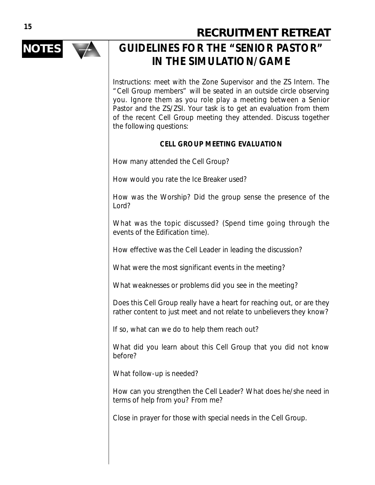

## **NOTES**  $\rightarrow$  GUIDELINES FOR THE "SENIOR PASTOR" **IN THE SIMULATION/GAME**

Instructions: meet with the Zone Supervisor and the ZS Intern. The "Cell Group members" will be seated in an outside circle observing you. Ignore them as you role play a meeting between a Senior Pastor and the ZS/ZSI. Your task is to get an evaluation from them of the recent Cell Group meeting they attended. Discuss together the following questions:

#### **CELL GROUP MEETING EVALUATION**

How many attended the Cell Group?

How would you rate the Ice Breaker used?

How was the Worship? Did the group sense the presence of the Lord?

What was the topic discussed? (Spend time going through the events of the Edification time).

How effective was the Cell Leader in leading the discussion?

What were the most significant events in the meeting?

What weaknesses or problems did you see in the meeting?

Does this Cell Group really have a heart for reaching out, or are they rather content to just meet and not relate to unbelievers they know?

If so, what can we do to help them reach out?

What did you learn about this Cell Group that you did not know before?

What follow-up is needed?

How can you strengthen the Cell Leader? What does he/she need in terms of help from you? From me?

Close in prayer for those with special needs in the Cell Group.